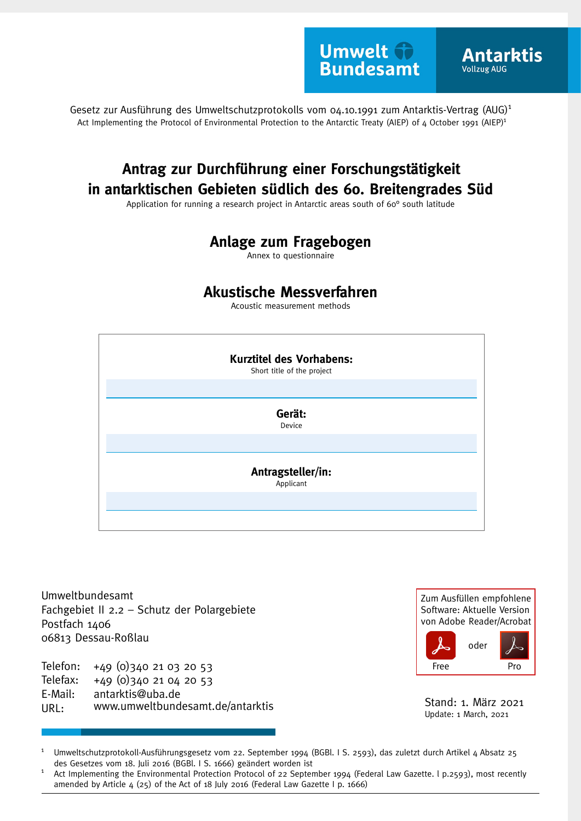**Umwelt the Bundesamt** 

**Antarktis** 

**Vollzug AUG** 

Gesetz zur Ausführung des Umweltschutzprotokolls vom 04.10.1991 zum Antarktis-Vertrag (AUG)<sup>1</sup> Act Implementing the Protocol of Environmental Protection to the Antarctic Treaty (AIEP) of 4 October 1991 (AIEP)<sup>1</sup>

# **Antrag zur Durchführung einer Forschungstätigkeit in antarktischen Gebieten südlich des 60. Breitengrades Süd**

Application for running a research project in Antarctic areas south of 60° south latitude

## **Anlage zum Fragebogen**

Annex to questionnaire

## **Akustische Messverfahren**

Acoustic measurement methods



Umweltbundesamt Fachgebiet II 2.2 – Schutz der Polargebiete Postfach 1406 06813 Dessau-Roßlau

Telefon: +49 (0)340 21 03 20 53 Telefax: +49 (0)340 21 04 20 53 E-Mail: URL: antarktis@uba.de<br>www.umweltbundesamt.de/antarktis Stand: 1. März 2021

Zum Ausfüllen empfohlene Software: Aktuelle Version von Adobe Reader/Acrobat oder

Free Pro

Update: 1 March, 2021

Umweltschutzprotokoll-Ausführungsgesetz vom 22. September 1994 (BGBl. I S. 2593), das zuletzt durch Artikel 4 Absatz 25 des Gesetzes vom 18. Juli 2016 (BGBl. I S. 1666) geändert worden ist 1

Act Implementing the Environmental Protection Protocol of 22 September 1994 (Federal Law Gazette. l p.2593), most recently amended by Article 4 (25) of the Act of 18 July 2016 (Federal Law Gazette I p. 1666) 1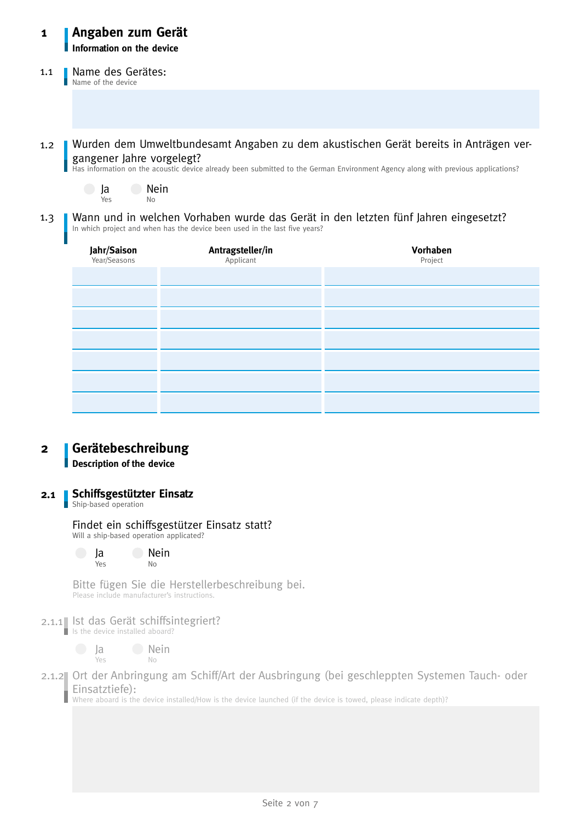### **Angaben zum Gerät Information on the device 1**

#### Name des Gerätes: Name of the device 1.1

Wurden dem Umweltbundesamt Angaben zu dem akustischen Gerät bereits in Anträgen vergangener Jahre vorgelegt? 1.2

Has information on the acoustic device already been submitted to the German Environment Agency along with previous applications?



Wann und in welchen Vorhaben wurde das Gerät in den letzten fünf Jahren eingesetzt? In which project and when has the device been used in the last five years? 1.3

| <b>Jahr/Saison</b><br>Year/Seasons | <b>Antragsteller/in</b><br>Applicant | Vorhaben<br>Project |
|------------------------------------|--------------------------------------|---------------------|
|                                    |                                      |                     |
|                                    |                                      |                     |
|                                    |                                      |                     |
|                                    |                                      |                     |
|                                    |                                      |                     |
|                                    |                                      |                     |
|                                    |                                      |                     |

### **Gerätebeschreibung 2**

**Description of the device**

#### **Schiffsgestützter Einsatz 2.1**

Ship-based operation

# Findet ein schiffsgestützer Einsatz statt?

Will a ship-based operation applicated?

| Ja  | Nein           |
|-----|----------------|
| Yes | N <sub>0</sub> |

Bitte fügen Sie die Herstellerbeschreibung bei. Please include manufacturer's instructions.

### 2.1.1 Ist das Gerät schiffsintegriert? I Is the device installed aboard?

 $\Box$  Ja Yes **Nein** No

2.1.2 Ort der Anbringung am Schiff/Art der Ausbringung (bei geschleppten Systemen Tauch- oder Einsatztiefe):

Where aboard is the device installed/How is the device launched (if the device is towed, please indicate depth)?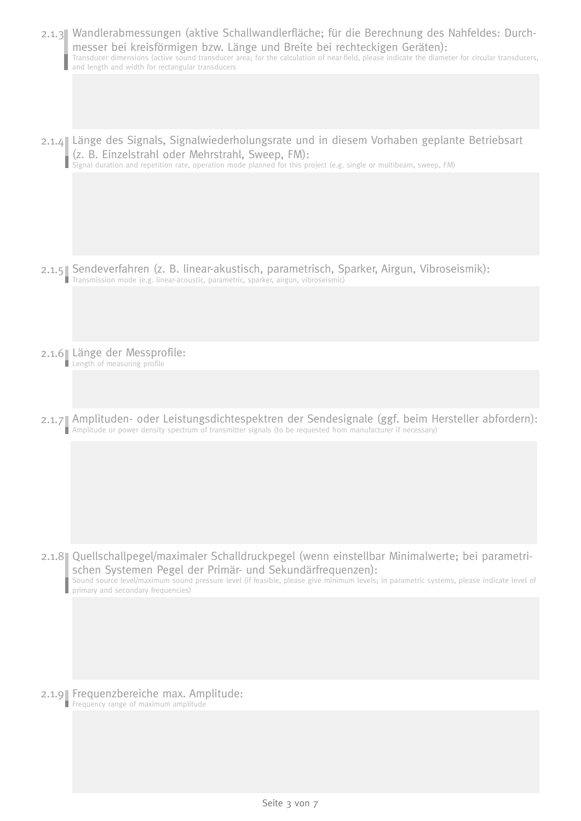| 2.1.3 Wandlerabmessungen (aktive Schallwandlerfläche; für die Berechnung des Nahfeldes: Durch-<br>messer bei kreisförmigen bzw. Länge und Breite bei rechteckigen Geräten):<br>Transducer dimensions (active sound transducer area; for the calculation of near-field, please indicate the diameter for circular transducers,<br>and length and width for rectangular transducers |
|-----------------------------------------------------------------------------------------------------------------------------------------------------------------------------------------------------------------------------------------------------------------------------------------------------------------------------------------------------------------------------------|
|                                                                                                                                                                                                                                                                                                                                                                                   |
| 2.1.4 Länge des Signals, Signalwiederholungsrate und in diesem Vorhaben geplante Betriebsart<br>(z. B. Einzelstrahl oder Mehrstrahl, Sweep, FM):<br>Signal duration and repetition rate, operation mode planned for this project (e.g. single or multibeam, sweep, FM)                                                                                                            |
|                                                                                                                                                                                                                                                                                                                                                                                   |
| 2.1.5 Sendeverfahren (z. B. linear-akustisch, parametrisch, Sparker, Airgun, Vibroseismik):<br>Transmission mode (e.g. linear-acoustic, parametric, sparker, airgun, vibroseismic)                                                                                                                                                                                                |
|                                                                                                                                                                                                                                                                                                                                                                                   |
| 2.1.6 Länge der Messprofile:<br>Length of measuring profile                                                                                                                                                                                                                                                                                                                       |
|                                                                                                                                                                                                                                                                                                                                                                                   |
| 2.1.7 Amplituden- oder Leistungsdichtespektren der Sendesignale (ggf. beim Hersteller abfordern):<br>Amplitude or power density spectrum of transmitter signals (to be requested from manufacturer if necessary)                                                                                                                                                                  |
|                                                                                                                                                                                                                                                                                                                                                                                   |
| 2.1.8 Quellschallpegel/maximaler Schalldruckpegel (wenn einstellbar Minimalwerte; bei parametri-<br>schen Systemen Pegel der Primär- und Sekundärfrequenzen):<br>Sound source level/maximum sound pressure level (if feasible, please give minimum levels; in parametric systems, please indicate level of<br>primary and secondary frequencies)                                  |
|                                                                                                                                                                                                                                                                                                                                                                                   |
|                                                                                                                                                                                                                                                                                                                                                                                   |
| 2.1.9 Frequenzbereiche max. Amplitude:<br>Frequency range of maximum amplitude                                                                                                                                                                                                                                                                                                    |
|                                                                                                                                                                                                                                                                                                                                                                                   |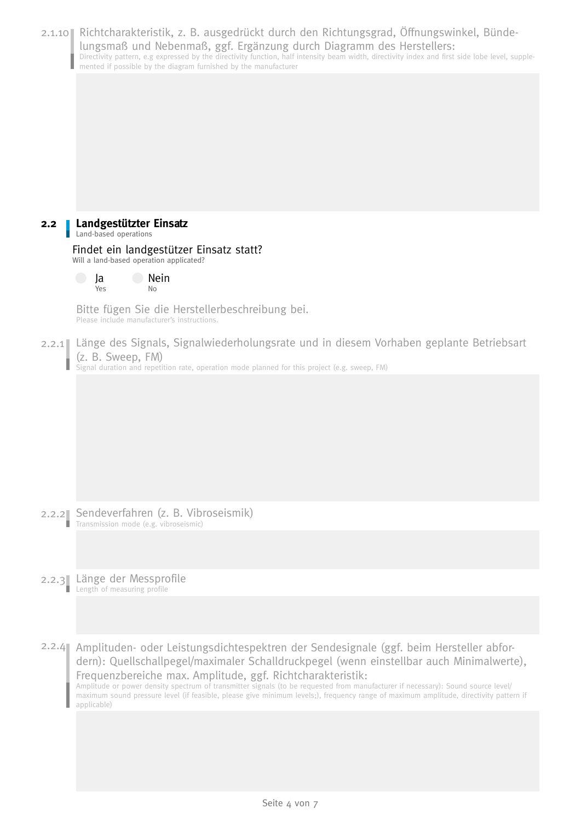|                  | 2.1.10 Richtcharakteristik, z. B. ausgedrückt durch den Richtungsgrad, Öffnungswinkel, Bünde-<br>lungsmaß und Nebenmaß, ggf. Ergänzung durch Diagramm des Herstellers:<br>Directivity pattern, e.g expressed by the directivity function, half intensity beam width, directivity index and first side lobe level, supple-<br>mented if possible by the diagram furnished by the manufacturer                                                                                                                                                 |
|------------------|----------------------------------------------------------------------------------------------------------------------------------------------------------------------------------------------------------------------------------------------------------------------------------------------------------------------------------------------------------------------------------------------------------------------------------------------------------------------------------------------------------------------------------------------|
|                  |                                                                                                                                                                                                                                                                                                                                                                                                                                                                                                                                              |
| 2.2 <sub>2</sub> | Landgestützter Einsatz                                                                                                                                                                                                                                                                                                                                                                                                                                                                                                                       |
|                  | Land-based operations<br>Findet ein landgestützer Einsatz statt?                                                                                                                                                                                                                                                                                                                                                                                                                                                                             |
|                  | Will a land-based operation applicated?<br>Nein<br>Ja                                                                                                                                                                                                                                                                                                                                                                                                                                                                                        |
|                  | No<br>Yes                                                                                                                                                                                                                                                                                                                                                                                                                                                                                                                                    |
|                  | Bitte fügen Sie die Herstellerbeschreibung bei.<br>Please include manufacturer's instructions.                                                                                                                                                                                                                                                                                                                                                                                                                                               |
|                  | 2.2.1 Länge des Signals, Signalwiederholungsrate und in diesem Vorhaben geplante Betriebsart<br>(z. B. Sweep, FM)<br>Signal duration and repetition rate, operation mode planned for this project (e.g. sweep, FM)                                                                                                                                                                                                                                                                                                                           |
|                  |                                                                                                                                                                                                                                                                                                                                                                                                                                                                                                                                              |
|                  |                                                                                                                                                                                                                                                                                                                                                                                                                                                                                                                                              |
|                  |                                                                                                                                                                                                                                                                                                                                                                                                                                                                                                                                              |
|                  |                                                                                                                                                                                                                                                                                                                                                                                                                                                                                                                                              |
|                  |                                                                                                                                                                                                                                                                                                                                                                                                                                                                                                                                              |
| п                | 2.2.2 Sendeverfahren (z. B. Vibroseismik)<br>Transmission mode (e.g. vibroseismic)                                                                                                                                                                                                                                                                                                                                                                                                                                                           |
|                  |                                                                                                                                                                                                                                                                                                                                                                                                                                                                                                                                              |
|                  | 2.2.3 Länge der Messprofile<br>Length of measuring profile                                                                                                                                                                                                                                                                                                                                                                                                                                                                                   |
|                  |                                                                                                                                                                                                                                                                                                                                                                                                                                                                                                                                              |
|                  |                                                                                                                                                                                                                                                                                                                                                                                                                                                                                                                                              |
| 2.2.4            | Amplituden- oder Leistungsdichtespektren der Sendesignale (ggf. beim Hersteller abfor-<br>dern): Quellschallpegel/maximaler Schalldruckpegel (wenn einstellbar auch Minimalwerte),<br>Frequenzbereiche max. Amplitude, ggf. Richtcharakteristik:<br>Amplitude or power density spectrum of transmitter signals (to be requested from manufacturer if necessary): Sound source level/<br>maximum sound pressure level (if feasible, please give minimum levels;), frequency range of maximum amplitude, directivity pattern if<br>applicable) |
|                  |                                                                                                                                                                                                                                                                                                                                                                                                                                                                                                                                              |
|                  |                                                                                                                                                                                                                                                                                                                                                                                                                                                                                                                                              |
|                  |                                                                                                                                                                                                                                                                                                                                                                                                                                                                                                                                              |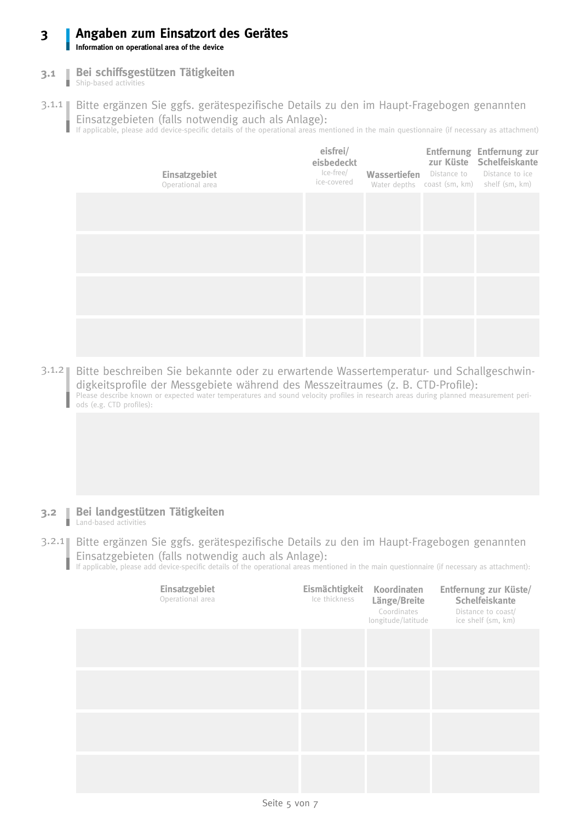### **Angaben zum Einsatzort des Gerätes Information on operational area of the device 3**

**Bei schiffsgestützen Tätigkeiten**

- Bei schiffsges **3.1**
- 3.1.1 Bitte ergänzen Sie ggfs. gerätespezifische Details zu den im Haupt-Fragebogen genannten Einsatzgebieten (falls notwendig auch als Anlage): If applicable, please add device-specific details of the operational areas mentioned in the main questionnaire (if necessary as attachment)

**Einsatzgebiet** Operational area **eisfrei/ eisbedeckt** Ice-free/ ice-covered **Wassertiefen** Distance to Water depths coast (sm, km) shelf (sm, km) **Entfernung Entfernung zur zur Küste Schelfeiskante** Distance to ice frei bdeckt frei bdeckt

frei bdeckt

3.1.2 Bitte beschreiben Sie bekannte oder zu erwartende Wassertemperatur- und Schallgeschwindigkeitsprofile der Messgebiete während des Messzeitraumes (z. B. CTD-Profile): Please describe known or expected water temperatures and sound velocity profiles in research areas during planned measurement periods (e.g. CTD profiles):

- **Bei landgestützen Tätigkeiten 3.2** I Land-based activities
- 3.2.1 Bitte ergänzen Sie ggfs. gerätespezifische Details zu den im Haupt-Fragebogen genannten Einsatzgebieten (falls notwendig auch als Anlage): I

If applicable, please add device-specific details of the operational areas mentioned in the main questionnaire (if necessary as attachment):

| Einsatzgebiet<br>Operational area | Eismächtigkeit Koordinaten<br>Ice thickness | Länge/Breite<br>Coordinates<br>longitude/latitude | Entfernung zur Küste/<br>Schelfeiskante<br>Distance to coast/<br>ice shelf (sm, km) |
|-----------------------------------|---------------------------------------------|---------------------------------------------------|-------------------------------------------------------------------------------------|
|                                   |                                             |                                                   |                                                                                     |
|                                   |                                             |                                                   |                                                                                     |
|                                   |                                             |                                                   |                                                                                     |
|                                   |                                             |                                                   |                                                                                     |
| Seite 5 von 7                     |                                             |                                                   |                                                                                     |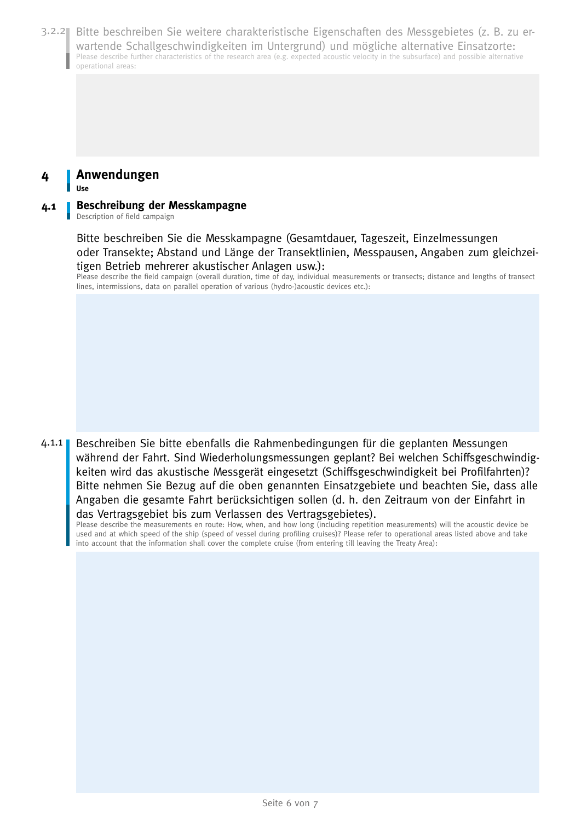3.2.2 Bitte beschreiben Sie weitere charakteristische Eigenschaften des Messgebietes (z. B. zu erwartende Schallgeschwindigkeiten im Untergrund) und mögliche alternative Einsatzorte: Please describe further characteristics of the research area (e.g. expected acoustic velocity in the subsurface) and possible alternative operational areas:

### **Anwendungen 4**

**Use** 

#### **Beschreibung der Messkampagne 4.1**

Description of field campaign

Bitte beschreiben Sie die Messkampagne (Gesamtdauer, Tageszeit, Einzelmessungen oder Transekte; Abstand und Länge der Transektlinien, Messpausen, Angaben zum gleichzeitigen Betrieb mehrerer akustischer Anlagen usw.):

Please describe the field campaign (overall duration, time of day, individual measurements or transects; distance and lengths of transect lines, intermissions, data on parallel operation of various (hydro-)acoustic devices etc.):

Beschreiben Sie bitte ebenfalls die Rahmenbedingungen für die geplanten Messungen während der Fahrt. Sind Wiederholungsmessungen geplant? Bei welchen Schiffsgeschwindigkeiten wird das akustische Messgerät eingesetzt (Schiffsgeschwindigkeit bei Profilfahrten)? Bitte nehmen Sie Bezug auf die oben genannten Einsatzgebiete und beachten Sie, dass alle Angaben die gesamte Fahrt berücksichtigen sollen (d. h. den Zeitraum von der Einfahrt in das Vertragsgebiet bis zum Verlassen des Vertragsgebietes).  $4.1.1$ 

Please describe the measurements en route: How, when, and how long (including repetition measurements) will the acoustic device be used and at which speed of the ship (speed of vessel during profiling cruises)? Please refer to operational areas listed above and take into account that the information shall cover the complete cruise (from entering till leaving the Treaty Area):